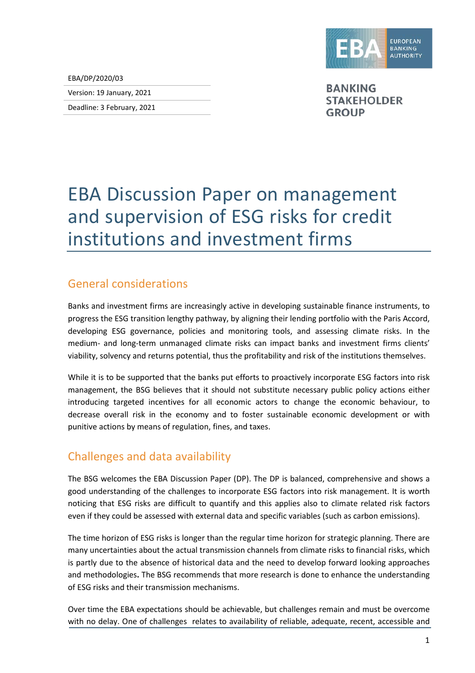

EBA/DP/2020/03

Version: 19 January, 2021

Deadline: 3 February, 2021

**BANKING STAKEHOLDER GROUP** 

# EBA Discussion Paper on management and supervision of ESG risks for credit institutions and investment firms

## General considerations

Banks and investment firms are increasingly active in developing sustainable finance instruments, to progress the ESG transition lengthy pathway, by aligning their lending portfolio with the Paris Accord, developing ESG governance, policies and monitoring tools, and assessing climate risks. In the medium- and long-term unmanaged climate risks can impact banks and investment firms clients' viability, solvency and returns potential, thus the profitability and risk of the institutions themselves.

While it is to be supported that the banks put efforts to proactively incorporate ESG factors into risk management, the BSG believes that it should not substitute necessary public policy actions either introducing targeted incentives for all economic actors to change the economic behaviour, to decrease overall risk in the economy and to foster sustainable economic development or with punitive actions by means of regulation, fines, and taxes.

## Challenges and data availability

The BSG welcomes the EBA Discussion Paper (DP). The DP is balanced, comprehensive and shows a good understanding of the challenges to incorporate ESG factors into risk management. It is worth noticing that ESG risks are difficult to quantify and this applies also to climate related risk factors even if they could be assessed with external data and specific variables (such as carbon emissions).

The time horizon of ESG risks is longer than the regular time horizon for strategic planning. There are many uncertainties about the actual transmission channels from climate risks to financial risks, which is partly due to the absence of historical data and the need to develop forward looking approaches and methodologies**.** The BSG recommends that more research is done to enhance the understanding of ESG risks and their transmission mechanisms.

Over time the EBA expectations should be achievable, but challenges remain and must be overcome with no delay. One of challenges relates to availability of reliable, adequate, recent, accessible and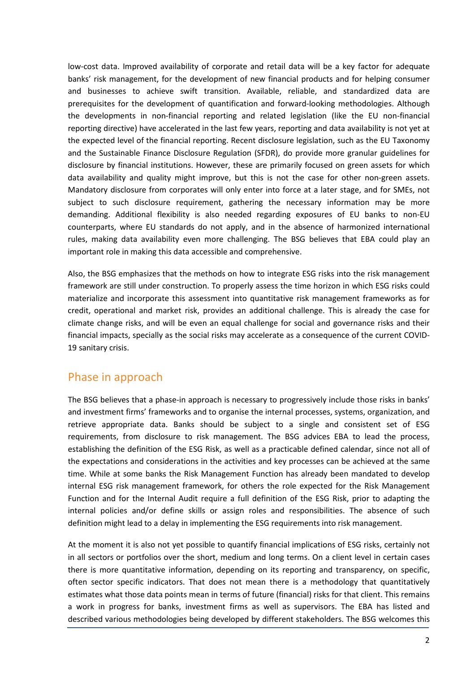low-cost data. Improved availability of corporate and retail data will be a key factor for adequate banks' risk management, for the development of new financial products and for helping consumer and businesses to achieve swift transition. Available, reliable, and standardized data are prerequisites for the development of quantification and forward-looking methodologies. Although the developments in non-financial reporting and related legislation (like the EU non-financial reporting directive) have accelerated in the last few years, reporting and data availability is not yet at the expected level of the financial reporting. Recent disclosure legislation, such as the EU Taxonomy and the Sustainable Finance Disclosure Regulation (SFDR), do provide more granular guidelines for disclosure by financial institutions. However, these are primarily focused on green assets for which data availability and quality might improve, but this is not the case for other non-green assets. Mandatory disclosure from corporates will only enter into force at a later stage, and for SMEs, not subject to such disclosure requirement, gathering the necessary information may be more demanding. Additional flexibility is also needed regarding exposures of EU banks to non-EU counterparts, where EU standards do not apply, and in the absence of harmonized international rules, making data availability even more challenging. The BSG believes that EBA could play an important role in making this data accessible and comprehensive.

Also, the BSG emphasizes that the methods on how to integrate ESG risks into the risk management framework are still under construction. To properly assess the time horizon in which ESG risks could materialize and incorporate this assessment into quantitative risk management frameworks as for credit, operational and market risk, provides an additional challenge. This is already the case for climate change risks, and will be even an equal challenge for social and governance risks and their financial impacts, specially as the social risks may accelerate as a consequence of the current COVID-19 sanitary crisis.

#### Phase in approach

The BSG believes that a phase-in approach is necessary to progressively include those risks in banks' and investment firms' frameworks and to organise the internal processes, systems, organization, and retrieve appropriate data. Banks should be subject to a single and consistent set of ESG requirements, from disclosure to risk management. The BSG advices EBA to lead the process, establishing the definition of the ESG Risk, as well as a practicable defined calendar, since not all of the expectations and considerations in the activities and key processes can be achieved at the same time. While at some banks the Risk Management Function has already been mandated to develop internal ESG risk management framework, for others the role expected for the Risk Management Function and for the Internal Audit require a full definition of the ESG Risk, prior to adapting the internal policies and/or define skills or assign roles and responsibilities. The absence of such definition might lead to a delay in implementing the ESG requirements into risk management.

At the moment it is also not yet possible to quantify financial implications of ESG risks, certainly not in all sectors or portfolios over the short, medium and long terms. On a client level in certain cases there is more quantitative information, depending on its reporting and transparency, on specific, often sector specific indicators. That does not mean there is a methodology that quantitatively estimates what those data points mean in terms of future (financial) risks for that client. This remains a work in progress for banks, investment firms as well as supervisors. The EBA has listed and described various methodologies being developed by different stakeholders. The BSG welcomes this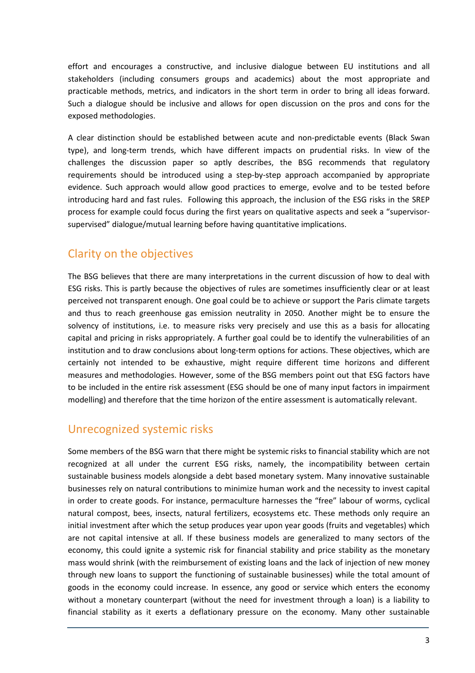effort and encourages a constructive, and inclusive dialogue between EU institutions and all stakeholders (including consumers groups and academics) about the most appropriate and practicable methods, metrics, and indicators in the short term in order to bring all ideas forward. Such a dialogue should be inclusive and allows for open discussion on the pros and cons for the exposed methodologies.

A clear distinction should be established between acute and non-predictable events (Black Swan type), and long-term trends, which have different impacts on prudential risks. In view of the challenges the discussion paper so aptly describes, the BSG recommends that regulatory requirements should be introduced using a step-by-step approach accompanied by appropriate evidence. Such approach would allow good practices to emerge, evolve and to be tested before introducing hard and fast rules. Following this approach, the inclusion of the ESG risks in the SREP process for example could focus during the first years on qualitative aspects and seek a "supervisorsupervised" dialogue/mutual learning before having quantitative implications.

## Clarity on the objectives

The BSG believes that there are many interpretations in the current discussion of how to deal with ESG risks. This is partly because the objectives of rules are sometimes insufficiently clear or at least perceived not transparent enough. One goal could be to achieve or support the Paris climate targets and thus to reach greenhouse gas emission neutrality in 2050. Another might be to ensure the solvency of institutions, i.e. to measure risks very precisely and use this as a basis for allocating capital and pricing in risks appropriately. A further goal could be to identify the vulnerabilities of an institution and to draw conclusions about long-term options for actions. These objectives, which are certainly not intended to be exhaustive, might require different time horizons and different measures and methodologies. However, some of the BSG members point out that ESG factors have to be included in the entire risk assessment (ESG should be one of many input factors in impairment modelling) and therefore that the time horizon of the entire assessment is automatically relevant.

## Unrecognized systemic risks

Some members of the BSG warn that there might be systemic risks to financial stability which are not recognized at all under the current ESG risks, namely, the incompatibility between certain sustainable business models alongside a debt based monetary system. Many innovative sustainable businesses rely on natural contributions to minimize human work and the necessity to invest capital in order to create goods. For instance, permaculture harnesses the "free" labour of worms, cyclical natural compost, bees, insects, natural fertilizers, ecosystems etc. These methods only require an initial investment after which the setup produces year upon year goods (fruits and vegetables) which are not capital intensive at all. If these business models are generalized to many sectors of the economy, this could ignite a systemic risk for financial stability and price stability as the monetary mass would shrink (with the reimbursement of existing loans and the lack of injection of new money through new loans to support the functioning of sustainable businesses) while the total amount of goods in the economy could increase. In essence, any good or service which enters the economy without a monetary counterpart (without the need for investment through a loan) is a liability to financial stability as it exerts a deflationary pressure on the economy. Many other sustainable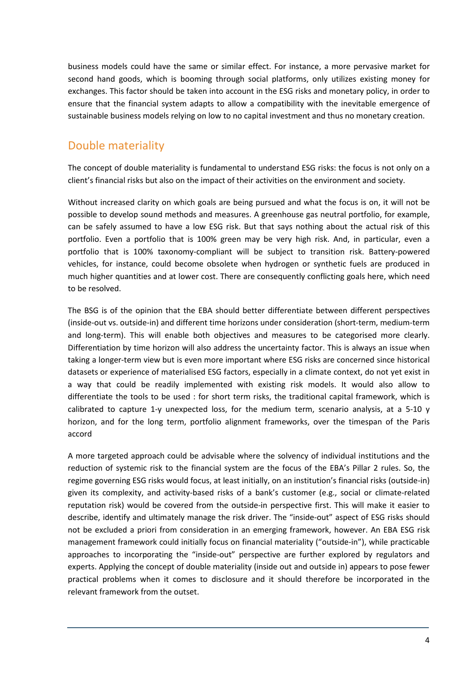business models could have the same or similar effect. For instance, a more pervasive market for second hand goods, which is booming through social platforms, only utilizes existing money for exchanges. This factor should be taken into account in the ESG risks and monetary policy, in order to ensure that the financial system adapts to allow a compatibility with the inevitable emergence of sustainable business models relying on low to no capital investment and thus no monetary creation.

#### Double materiality

The concept of double materiality is fundamental to understand ESG risks: the focus is not only on a client's financial risks but also on the impact of their activities on the environment and society.

Without increased clarity on which goals are being pursued and what the focus is on, it will not be possible to develop sound methods and measures. A greenhouse gas neutral portfolio, for example, can be safely assumed to have a low ESG risk. But that says nothing about the actual risk of this portfolio. Even a portfolio that is 100% green may be very high risk. And, in particular, even a portfolio that is 100% taxonomy-compliant will be subject to transition risk. Battery-powered vehicles, for instance, could become obsolete when hydrogen or synthetic fuels are produced in much higher quantities and at lower cost. There are consequently conflicting goals here, which need to be resolved.

The BSG is of the opinion that the EBA should better differentiate between different perspectives (inside-out vs. outside-in) and different time horizons under consideration (short-term, medium-term and long-term). This will enable both objectives and measures to be categorised more clearly. Differentiation by time horizon will also address the uncertainty factor. This is always an issue when taking a longer-term view but is even more important where ESG risks are concerned since historical datasets or experience of materialised ESG factors, especially in a climate context, do not yet exist in a way that could be readily implemented with existing risk models. It would also allow to differentiate the tools to be used : for short term risks, the traditional capital framework, which is calibrated to capture 1-y unexpected loss, for the medium term, scenario analysis, at a 5-10 y horizon, and for the long term, portfolio alignment frameworks, over the timespan of the Paris accord

A more targeted approach could be advisable where the solvency of individual institutions and the reduction of systemic risk to the financial system are the focus of the EBA's Pillar 2 rules. So, the regime governing ESG risks would focus, at least initially, on an institution's financial risks (outside-in) given its complexity, and activity-based risks of a bank's customer (e.g., social or climate-related reputation risk) would be covered from the outside-in perspective first. This will make it easier to describe, identify and ultimately manage the risk driver. The "inside-out" aspect of ESG risks should not be excluded a priori from consideration in an emerging framework, however. An EBA ESG risk management framework could initially focus on financial materiality ("outside-in"), while practicable approaches to incorporating the "inside-out" perspective are further explored by regulators and experts. Applying the concept of double materiality (inside out and outside in) appears to pose fewer practical problems when it comes to disclosure and it should therefore be incorporated in the relevant framework from the outset.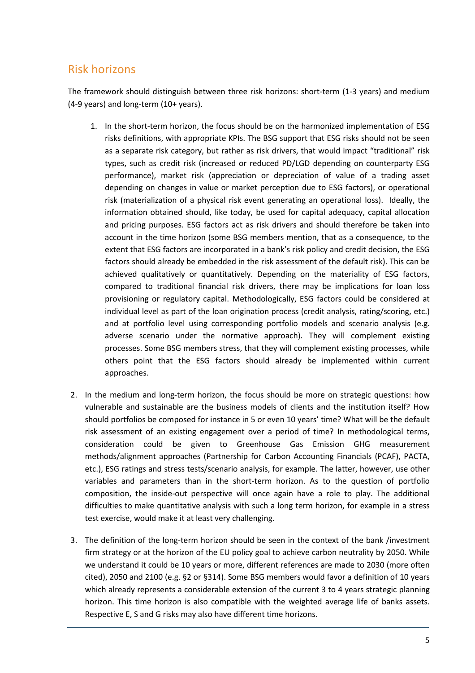## Risk horizons

The framework should distinguish between three risk horizons: short-term (1-3 years) and medium (4-9 years) and long-term (10+ years).

- 1. In the short-term horizon, the focus should be on the harmonized implementation of ESG risks definitions, with appropriate KPIs. The BSG support that ESG risks should not be seen as a separate risk category, but rather as risk drivers, that would impact "traditional" risk types, such as credit risk (increased or reduced PD/LGD depending on counterparty ESG performance), market risk (appreciation or depreciation of value of a trading asset depending on changes in value or market perception due to ESG factors), or operational risk (materialization of a physical risk event generating an operational loss). Ideally, the information obtained should, like today, be used for capital adequacy, capital allocation and pricing purposes. ESG factors act as risk drivers and should therefore be taken into account in the time horizon (some BSG members mention, that as a consequence, to the extent that ESG factors are incorporated in a bank's risk policy and credit decision, the ESG factors should already be embedded in the risk assessment of the default risk). This can be achieved qualitatively or quantitatively. Depending on the materiality of ESG factors, compared to traditional financial risk drivers, there may be implications for loan loss provisioning or regulatory capital. Methodologically, ESG factors could be considered at individual level as part of the loan origination process (credit analysis, rating/scoring, etc.) and at portfolio level using corresponding portfolio models and scenario analysis (e.g. adverse scenario under the normative approach). They will complement existing processes. Some BSG members stress, that they will complement existing processes, while others point that the ESG factors should already be implemented within current approaches.
- 2. In the medium and long-term horizon, the focus should be more on strategic questions: how vulnerable and sustainable are the business models of clients and the institution itself? How should portfolios be composed for instance in 5 or even 10 years' time? What will be the default risk assessment of an existing engagement over a period of time? In methodological terms, consideration could be given to Greenhouse Gas Emission GHG measurement methods/alignment approaches (Partnership for Carbon Accounting Financials (PCAF), PACTA, etc.), ESG ratings and stress tests/scenario analysis, for example. The latter, however, use other variables and parameters than in the short-term horizon. As to the question of portfolio composition, the inside-out perspective will once again have a role to play. The additional difficulties to make quantitative analysis with such a long term horizon, for example in a stress test exercise, would make it at least very challenging.
- 3. The definition of the long-term horizon should be seen in the context of the bank /investment firm strategy or at the horizon of the EU policy goal to achieve carbon neutrality by 2050. While we understand it could be 10 years or more, different references are made to 2030 (more often cited), 2050 and 2100 (e.g. §2 or §314). Some BSG members would favor a definition of 10 years which already represents a considerable extension of the current 3 to 4 years strategic planning horizon. This time horizon is also compatible with the weighted average life of banks assets. Respective E, S and G risks may also have different time horizons.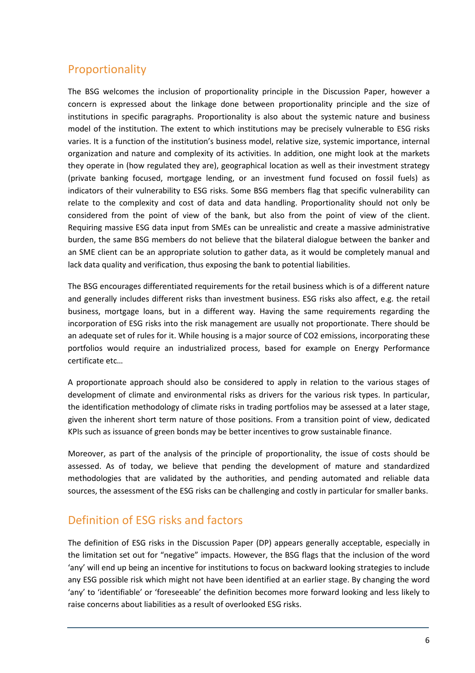## Proportionality

The BSG welcomes the inclusion of proportionality principle in the Discussion Paper, however a concern is expressed about the linkage done between proportionality principle and the size of institutions in specific paragraphs. Proportionality is also about the systemic nature and business model of the institution. The extent to which institutions may be precisely vulnerable to ESG risks varies. It is a function of the institution's business model, relative size, systemic importance, internal organization and nature and complexity of its activities. In addition, one might look at the markets they operate in (how regulated they are), geographical location as well as their investment strategy (private banking focused, mortgage lending, or an investment fund focused on fossil fuels) as indicators of their vulnerability to ESG risks. Some BSG members flag that specific vulnerability can relate to the complexity and cost of data and data handling. Proportionality should not only be considered from the point of view of the bank, but also from the point of view of the client. Requiring massive ESG data input from SMEs can be unrealistic and create a massive administrative burden, the same BSG members do not believe that the bilateral dialogue between the banker and an SME client can be an appropriate solution to gather data, as it would be completely manual and lack data quality and verification, thus exposing the bank to potential liabilities.

The BSG encourages differentiated requirements for the retail business which is of a different nature and generally includes different risks than investment business. ESG risks also affect, e.g. the retail business, mortgage loans, but in a different way. Having the same requirements regarding the incorporation of ESG risks into the risk management are usually not proportionate. There should be an adequate set of rules for it. While housing is a major source of CO2 emissions, incorporating these portfolios would require an industrialized process, based for example on Energy Performance certificate etc…

A proportionate approach should also be considered to apply in relation to the various stages of development of climate and environmental risks as drivers for the various risk types. In particular, the identification methodology of climate risks in trading portfolios may be assessed at a later stage, given the inherent short term nature of those positions. From a transition point of view, dedicated KPIs such as issuance of green bonds may be better incentives to grow sustainable finance.

Moreover, as part of the analysis of the principle of proportionality, the issue of costs should be assessed. As of today, we believe that pending the development of mature and standardized methodologies that are validated by the authorities, and pending automated and reliable data sources, the assessment of the ESG risks can be challenging and costly in particular for smaller banks.

#### Definition of ESG risks and factors

The definition of ESG risks in the Discussion Paper (DP) appears generally acceptable, especially in the limitation set out for "negative" impacts. However, the BSG flags that the inclusion of the word 'any' will end up being an incentive for institutions to focus on backward looking strategies to include any ESG possible risk which might not have been identified at an earlier stage. By changing the word 'any' to 'identifiable' or 'foreseeable' the definition becomes more forward looking and less likely to raise concerns about liabilities as a result of overlooked ESG risks.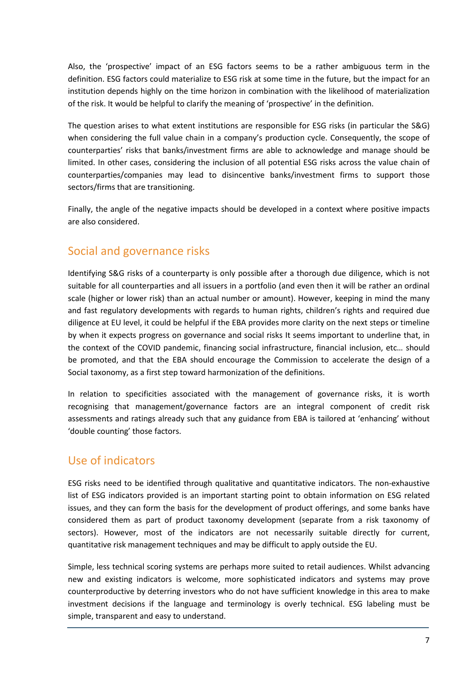Also, the 'prospective' impact of an ESG factors seems to be a rather ambiguous term in the definition. ESG factors could materialize to ESG risk at some time in the future, but the impact for an institution depends highly on the time horizon in combination with the likelihood of materialization of the risk. It would be helpful to clarify the meaning of 'prospective' in the definition.

The question arises to what extent institutions are responsible for ESG risks (in particular the S&G) when considering the full value chain in a company's production cycle. Consequently, the scope of counterparties' risks that banks/investment firms are able to acknowledge and manage should be limited. In other cases, considering the inclusion of all potential ESG risks across the value chain of counterparties/companies may lead to disincentive banks/investment firms to support those sectors/firms that are transitioning.

Finally, the angle of the negative impacts should be developed in a context where positive impacts are also considered.

# Social and governance risks

Identifying S&G risks of a counterparty is only possible after a thorough due diligence, which is not suitable for all counterparties and all issuers in a portfolio (and even then it will be rather an ordinal scale (higher or lower risk) than an actual number or amount). However, keeping in mind the many and fast regulatory developments with regards to human rights, children's rights and required due diligence at EU level, it could be helpful if the EBA provides more clarity on the next steps or timeline by when it expects progress on governance and social risks It seems important to underline that, in the context of the COVID pandemic, financing social infrastructure, financial inclusion, etc… should be promoted, and that the EBA should encourage the Commission to accelerate the design of a Social taxonomy, as a first step toward harmonization of the definitions.

In relation to specificities associated with the management of governance risks, it is worth recognising that management/governance factors are an integral component of credit risk assessments and ratings already such that any guidance from EBA is tailored at 'enhancing' without 'double counting' those factors.

#### Use of indicators

ESG risks need to be identified through qualitative and quantitative indicators. The non-exhaustive list of ESG indicators provided is an important starting point to obtain information on ESG related issues, and they can form the basis for the development of product offerings, and some banks have considered them as part of product taxonomy development (separate from a risk taxonomy of sectors). However, most of the indicators are not necessarily suitable directly for current, quantitative risk management techniques and may be difficult to apply outside the EU.

Simple, less technical scoring systems are perhaps more suited to retail audiences. Whilst advancing new and existing indicators is welcome, more sophisticated indicators and systems may prove counterproductive by deterring investors who do not have sufficient knowledge in this area to make investment decisions if the language and terminology is overly technical. ESG labeling must be simple, transparent and easy to understand.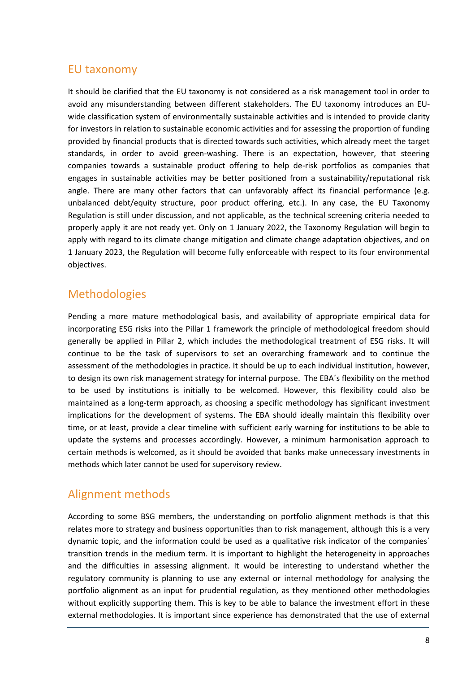#### EU taxonomy

It should be clarified that the EU taxonomy is not considered as a risk management tool in order to avoid any misunderstanding between different stakeholders. The EU taxonomy introduces an EUwide classification system of environmentally sustainable activities and is intended to provide clarity for investors in relation to sustainable economic activities and for assessing the proportion of funding provided by financial products that is directed towards such activities, which already meet the target standards, in order to avoid green-washing. There is an expectation, however, that steering companies towards a sustainable product offering to help de-risk portfolios as companies that engages in sustainable activities may be better positioned from a sustainability/reputational risk angle. There are many other factors that can unfavorably affect its financial performance (e.g. unbalanced debt/equity structure, poor product offering, etc.). In any case, the EU Taxonomy Regulation is still under discussion, and not applicable, as the technical screening criteria needed to properly apply it are not ready yet. Only on 1 January 2022, the Taxonomy Regulation will begin to apply with regard to its climate change mitigation and climate change adaptation objectives, and on 1 January 2023, the Regulation will become fully enforceable with respect to its four environmental objectives.

## **Methodologies**

Pending a more mature methodological basis, and availability of appropriate empirical data for incorporating ESG risks into the Pillar 1 framework the principle of methodological freedom should generally be applied in Pillar 2, which includes the methodological treatment of ESG risks. It will continue to be the task of supervisors to set an overarching framework and to continue the assessment of the methodologies in practice. It should be up to each individual institution, however, to design its own risk management strategy for internal purpose. The EBA´s flexibility on the method to be used by institutions is initially to be welcomed. However, this flexibility could also be maintained as a long-term approach, as choosing a specific methodology has significant investment implications for the development of systems. The EBA should ideally maintain this flexibility over time, or at least, provide a clear timeline with sufficient early warning for institutions to be able to update the systems and processes accordingly. However, a minimum harmonisation approach to certain methods is welcomed, as it should be avoided that banks make unnecessary investments in methods which later cannot be used for supervisory review.

## Alignment methods

According to some BSG members, the understanding on portfolio alignment methods is that this relates more to strategy and business opportunities than to risk management, although this is a very dynamic topic, and the information could be used as a qualitative risk indicator of the companies´ transition trends in the medium term. It is important to highlight the heterogeneity in approaches and the difficulties in assessing alignment. It would be interesting to understand whether the regulatory community is planning to use any external or internal methodology for analysing the portfolio alignment as an input for prudential regulation, as they mentioned other methodologies without explicitly supporting them. This is key to be able to balance the investment effort in these external methodologies. It is important since experience has demonstrated that the use of external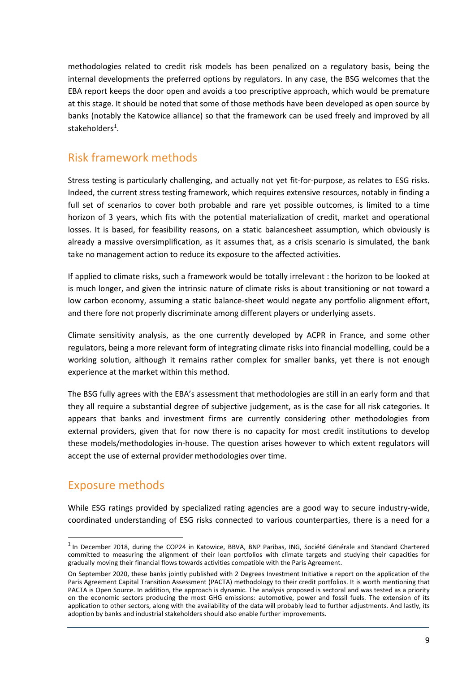methodologies related to credit risk models has been penalized on a regulatory basis, being the internal developments the preferred options by regulators. In any case, the BSG welcomes that the EBA report keeps the door open and avoids a too prescriptive approach, which would be premature at this stage. It should be noted that some of those methods have been developed as open source by banks (notably the Katowice alliance) so that the framework can be used freely and improved by all stakeholders<sup>[1](#page-8-0)</sup>.

#### Risk framework methods

Stress testing is particularly challenging, and actually not yet fit-for-purpose, as relates to ESG risks. Indeed, the current stress testing framework, which requires extensive resources, notably in finding a full set of scenarios to cover both probable and rare yet possible outcomes, is limited to a time horizon of 3 years, which fits with the potential materialization of credit, market and operational losses. It is based, for feasibility reasons, on a static balancesheet assumption, which obviously is already a massive oversimplification, as it assumes that, as a crisis scenario is simulated, the bank take no management action to reduce its exposure to the affected activities.

If applied to climate risks, such a framework would be totally irrelevant : the horizon to be looked at is much longer, and given the intrinsic nature of climate risks is about transitioning or not toward a low carbon economy, assuming a static balance-sheet would negate any portfolio alignment effort, and there fore not properly discriminate among different players or underlying assets.

Climate sensitivity analysis, as the one currently developed by ACPR in France, and some other regulators, being a more relevant form of integrating climate risks into financial modelling, could be a working solution, although it remains rather complex for smaller banks, yet there is not enough experience at the market within this method.

The BSG fully agrees with the EBA's assessment that methodologies are still in an early form and that they all require a substantial degree of subjective judgement, as is the case for all risk categories. It appears that banks and investment firms are currently considering other methodologies from external providers, given that for now there is no capacity for most credit institutions to develop these models/methodologies in-house. The question arises however to which extent regulators will accept the use of external provider methodologies over time.

## Exposure methods

 $\overline{a}$ 

While ESG ratings provided by specialized rating agencies are a good way to secure industry-wide, coordinated understanding of ESG risks connected to various counterparties, there is a need for a

<span id="page-8-0"></span> $1$  In December 2018, during the COP24 in Katowice, BBVA, BNP Paribas, ING, Société Générale and Standard Chartered committed to measuring the alignment of their loan portfolios with climate targets and studying their capacities for gradually moving their financial flows towards activities compatible with the Paris Agreement.

On September 2020, these banks jointly published with 2 Degrees Investment Initiative a report on the application of the Paris Agreement Capital Transition Assessment (PACTA) methodology to their credit portfolios. It is worth mentioning that PACTA is Open Source. In addition, the approach is dynamic. The analysis proposed is sectoral and was tested as a priority on the economic sectors producing the most GHG emissions: automotive, power and fossil fuels. The extension of its application to other sectors, along with the availability of the data will probably lead to further adjustments. And lastly, its adoption by banks and industrial stakeholders should also enable further improvements.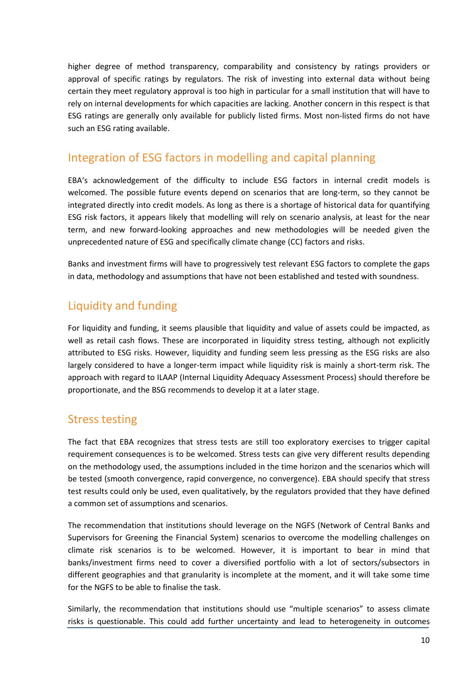higher degree of method transparency, comparability and consistency by ratings providers or approval of specific ratings by regulators. The risk of investing into external data without being certain they meet regulatory approval is too high in particular for a small institution that will have to rely on internal developments for which capacities are lacking. Another concern in this respect is that ESG ratings are generally only available for publicly listed firms. Most non-listed firms do not have such an ESG rating available.

#### Integration of ESG factors in modelling and capital planning

EBA's acknowledgement of the difficulty to include ESG factors in internal credit models is welcomed. The possible future events depend on scenarios that are long-term, so they cannot be integrated directly into credit models. As long as there is a shortage of historical data for quantifying ESG risk factors, it appears likely that modelling will rely on scenario analysis, at least for the near term, and new forward-looking approaches and new methodologies will be needed given the unprecedented nature of ESG and specifically climate change (CC) factors and risks.

Banks and investment firms will have to progressively test relevant ESG factors to complete the gaps in data, methodology and assumptions that have not been established and tested with soundness.

# Liquidity and funding

For liquidity and funding, it seems plausible that liquidity and value of assets could be impacted, as well as retail cash flows. These are incorporated in liquidity stress testing, although not explicitly attributed to ESG risks. However, liquidity and funding seem less pressing as the ESG risks are also largely considered to have a longer-term impact while liquidity risk is mainly a short-term risk. The approach with regard to ILAAP (Internal Liquidity Adequacy Assessment Process) should therefore be proportionate, and the BSG recommends to develop it at a later stage.

## Stress testing

The fact that EBA recognizes that stress tests are still too exploratory exercises to trigger capital requirement consequences is to be welcomed. Stress tests can give very different results depending on the methodology used, the assumptions included in the time horizon and the scenarios which will be tested (smooth convergence, rapid convergence, no convergence). EBA should specify that stress test results could only be used, even qualitatively, by the regulators provided that they have defined a common set of assumptions and scenarios.

The recommendation that institutions should leverage on the NGFS (Network of Central Banks and Supervisors for Greening the Financial System) scenarios to overcome the modelling challenges on climate risk scenarios is to be welcomed. However, it is important to bear in mind that banks/investment firms need to cover a diversified portfolio with a lot of sectors/subsectors in different geographies and that granularity is incomplete at the moment, and it will take some time for the NGFS to be able to finalise the task.

Similarly, the recommendation that institutions should use "multiple scenarios" to assess climate risks is questionable. This could add further uncertainty and lead to heterogeneity in outcomes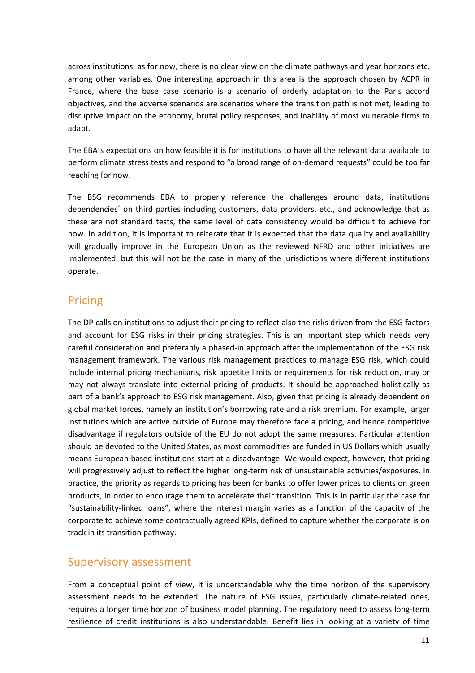across institutions, as for now, there is no clear view on the climate pathways and year horizons etc. among other variables. One interesting approach in this area is the approach chosen by ACPR in France, where the base case scenario is a scenario of orderly adaptation to the Paris accord objectives, and the adverse scenarios are scenarios where the transition path is not met, leading to disruptive impact on the economy, brutal policy responses, and inability of most vulnerable firms to adapt.

The EBA´s expectations on how feasible it is for institutions to have all the relevant data available to perform climate stress tests and respond to "a broad range of on-demand requests" could be too far reaching for now.

The BSG recommends EBA to properly reference the challenges around data, institutions dependencies´ on third parties including customers, data providers, etc., and acknowledge that as these are not standard tests, the same level of data consistency would be difficult to achieve for now. In addition, it is important to reiterate that it is expected that the data quality and availability will gradually improve in the European Union as the reviewed NFRD and other initiatives are implemented, but this will not be the case in many of the jurisdictions where different institutions operate.

# Pricing

The DP calls on institutions to adjust their pricing to reflect also the risks driven from the ESG factors and account for ESG risks in their pricing strategies. This is an important step which needs very careful consideration and preferably a phased-in approach after the implementation of the ESG risk management framework. The various risk management practices to manage ESG risk, which could include internal pricing mechanisms, risk appetite limits or requirements for risk reduction, may or may not always translate into external pricing of products. It should be approached holistically as part of a bank's approach to ESG risk management. Also, given that pricing is already dependent on global market forces, namely an institution's borrowing rate and a risk premium. For example, larger institutions which are active outside of Europe may therefore face a pricing, and hence competitive disadvantage if regulators outside of the EU do not adopt the same measures. Particular attention should be devoted to the United States, as most commodities are funded in US Dollars which usually means European based institutions start at a disadvantage. We would expect, however, that pricing will progressively adjust to reflect the higher long-term risk of unsustainable activities/exposures. In practice, the priority as regards to pricing has been for banks to offer lower prices to clients on green products, in order to encourage them to accelerate their transition. This is in particular the case for "sustainability-linked loans", where the interest margin varies as a function of the capacity of the corporate to achieve some contractually agreed KPIs, defined to capture whether the corporate is on track in its transition pathway.

#### Supervisory assessment

From a conceptual point of view, it is understandable why the time horizon of the supervisory assessment needs to be extended. The nature of ESG issues, particularly climate-related ones, requires a longer time horizon of business model planning. The regulatory need to assess long-term resilience of credit institutions is also understandable. Benefit lies in looking at a variety of time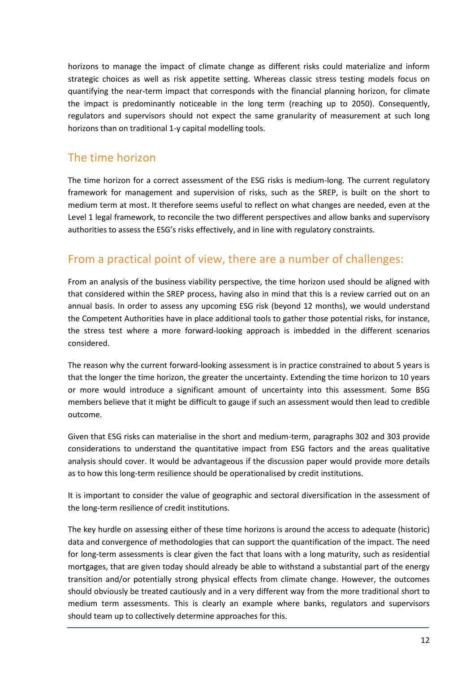horizons to manage the impact of climate change as different risks could materialize and inform strategic choices as well as risk appetite setting. Whereas classic stress testing models focus on quantifying the near-term impact that corresponds with the financial planning horizon, for climate the impact is predominantly noticeable in the long term (reaching up to 2050). Consequently, regulators and supervisors should not expect the same granularity of measurement at such long horizons than on traditional 1-y capital modelling tools.

## The time horizon

The time horizon for a correct assessment of the ESG risks is medium-long. The current regulatory framework for management and supervision of risks, such as the SREP, is built on the short to medium term at most. It therefore seems useful to reflect on what changes are needed, even at the Level 1 legal framework, to reconcile the two different perspectives and allow banks and supervisory authorities to assess the ESG's risks effectively, and in line with regulatory constraints.

# From a practical point of view, there are a number of challenges:

From an analysis of the business viability perspective, the time horizon used should be aligned with that considered within the SREP process, having also in mind that this is a review carried out on an annual basis. In order to assess any upcoming ESG risk (beyond 12 months), we would understand the Competent Authorities have in place additional tools to gather those potential risks, for instance, the stress test where a more forward-looking approach is imbedded in the different scenarios considered.

The reason why the current forward-looking assessment is in practice constrained to about 5 years is that the longer the time horizon, the greater the uncertainty. Extending the time horizon to 10 years or more would introduce a significant amount of uncertainty into this assessment. Some BSG members believe that it might be difficult to gauge if such an assessment would then lead to credible outcome.

Given that ESG risks can materialise in the short and medium-term, paragraphs 302 and 303 provide considerations to understand the quantitative impact from ESG factors and the areas qualitative analysis should cover. It would be advantageous if the discussion paper would provide more details as to how this long-term resilience should be operationalised by credit institutions.

It is important to consider the value of geographic and sectoral diversification in the assessment of the long-term resilience of credit institutions.

The key hurdle on assessing either of these time horizons is around the access to adequate (historic) data and convergence of methodologies that can support the quantification of the impact. The need for long-term assessments is clear given the fact that loans with a long maturity, such as residential mortgages, that are given today should already be able to withstand a substantial part of the energy transition and/or potentially strong physical effects from climate change. However, the outcomes should obviously be treated cautiously and in a very different way from the more traditional short to medium term assessments. This is clearly an example where banks, regulators and supervisors should team up to collectively determine approaches for this.